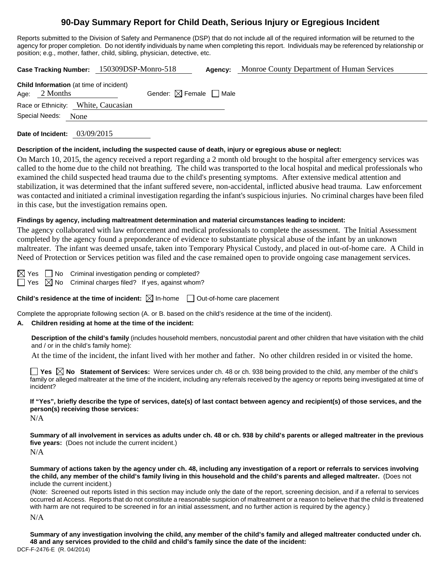# **90-Day Summary Report for Child Death, Serious Injury or Egregious Incident**

Reports submitted to the Division of Safety and Permanence (DSP) that do not include all of the required information will be returned to the agency for proper completion. Do not identify individuals by name when completing this report. Individuals may be referenced by relationship or position; e.g., mother, father, child, sibling, physician, detective, etc.

|                                                                   | Case Tracking Number: 150309DSP-Monro-518 | Agency: | Monroe County Department of Human Services |
|-------------------------------------------------------------------|-------------------------------------------|---------|--------------------------------------------|
| <b>Child Information</b> (at time of incident)<br>Age: $2$ Months | Gender: $\boxtimes$ Female $\Box$ Male    |         |                                            |
| Race or Ethnicity: White, Caucasian<br>Special Needs:<br>None     |                                           |         |                                            |
|                                                                   |                                           |         |                                            |

**Date of Incident:** 03/09/2015

#### **Description of the incident, including the suspected cause of death, injury or egregious abuse or neglect:**

On March 10, 2015, the agency received a report regarding a 2 month old brought to the hospital after emergency services was called to the home due to the child not breathing. The child was transported to the local hospital and medical professionals who examined the child suspected head trauma due to the child's presenting symptoms. After extensive medical attention and stabilization, it was determined that the infant suffered severe, non-accidental, inflicted abusive head trauma. Law enforcement was contacted and initiated a criminal investigation regarding the infant's suspicious injuries. No criminal charges have been filed in this case, but the investigation remains open.

### **Findings by agency, including maltreatment determination and material circumstances leading to incident:**

The agency collaborated with law enforcement and medical professionals to complete the assessment. The Initial Assessment completed by the agency found a preponderance of evidence to substantiate physical abuse of the infant by an unknown maltreater. The infant was deemed unsafe, taken into Temporary Physical Custody, and placed in out-of-home care. A Child in Need of Protection or Services petition was filed and the case remained open to provide ongoing case management services.

 $\boxtimes$  Yes  $\Box$  No Criminal investigation pending or completed?  $\Box$  Yes  $\boxtimes$  No Criminal charges filed? If yes, against whom?

**Child's residence at the time of incident:**  $\boxtimes$  In-home  $\Box$  Out-of-home care placement

Complete the appropriate following section (A. or B. based on the child's residence at the time of the incident).

### **A. Children residing at home at the time of the incident:**

**Description of the child's family** (includes household members, noncustodial parent and other children that have visitation with the child and / or in the child's family home):

At the time of the incident, the infant lived with her mother and father. No other children resided in or visited the home.

■ Yes **No** Statement of Services: Were services under ch. 48 or ch. 938 being provided to the child, any member of the child's family or alleged maltreater at the time of the incident, including any referrals received by the agency or reports being investigated at time of incident?

**If "Yes", briefly describe the type of services, date(s) of last contact between agency and recipient(s) of those services, and the person(s) receiving those services:** 

N/A

**Summary of all involvement in services as adults under ch. 48 or ch. 938 by child's parents or alleged maltreater in the previous five years:** (Does not include the current incident.) N/A

**Summary of actions taken by the agency under ch. 48, including any investigation of a report or referrals to services involving the child, any member of the child's family living in this household and the child's parents and alleged maltreater.** (Does not include the current incident.)

(Note: Screened out reports listed in this section may include only the date of the report, screening decision, and if a referral to services occurred at Access. Reports that do not constitute a reasonable suspicion of maltreatment or a reason to believe that the child is threatened with harm are not required to be screened in for an initial assessment, and no further action is required by the agency.)

N/A

DCF-F-2476-E (R. 04/2014) **Summary of any investigation involving the child, any member of the child's family and alleged maltreater conducted under ch. 48 and any services provided to the child and child's family since the date of the incident:**